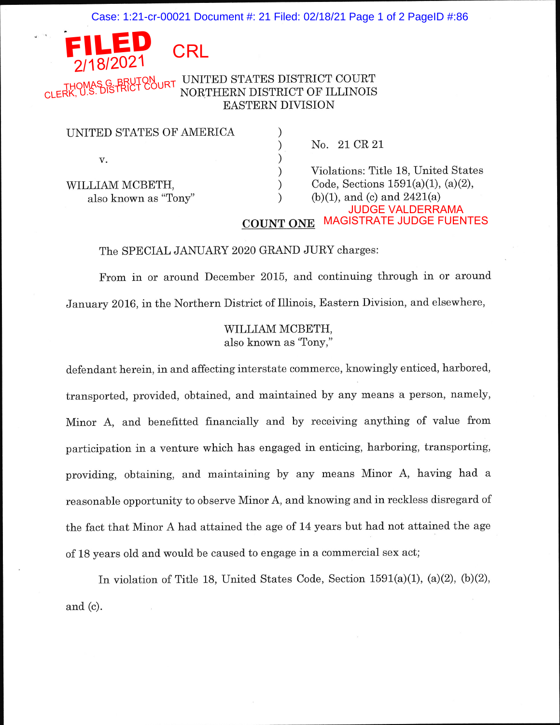Case: 1:21-cr-00021 Document #: 21 Filed: 02/18/21 Page 1 of 2 PageID #:86

# $8/202$ **CRL**

UNITED STATES DISTRICT COURT NORTHERN DISTRICT OF ILLINOIS EASTERN DIVISION THOMAS G. BRUTON<br>CLERK, U.S. DISTRICT COURT

| UNITED STATES OF AMERICA |                                          |
|--------------------------|------------------------------------------|
|                          | No. 21 CR 21                             |
| V.                       |                                          |
|                          | Violations: Title 18, United States      |
| WILLIAM MCBETH,          | Code, Sections $1591(a)(1)$ , $(a)(2)$ , |
| also known as "Tony"     | (b)(1), and (c) and $2421(a)$            |
|                          | <b>JUDGE VALDERRAMA</b>                  |
|                          | <b>MAGISTRATE JUDGE FUENTES</b>          |

#### The SPECIAL JANUARY 2020 GRAND JURY charges:

From in or around December 2015, and continuing through in or around January 2016, in the Northern District of Illinois, Eastern Division, and elsewhere,

## WILLIAM MCBETH, also known as'Tony,"

defendant herein, in and affecting interstate commerce, knowingly enticed, harbored, transported, provided, obtained, and maintained by any means a person, namely, Minor A, and benefitted financially and by receiving anything of value from participation in a venture which has engaged in enticing, harboring, transporting, providing, obtaining, and maintaining by any means Minor A, having had <sup>a</sup> reasonable opportunity to observe Minor A, and knowing and in reckless disregard of the fact that Minor A had attained the age of 14 years but had not attained the age of 18 years o1d and would be caused to engage in a commercial sex act;

In violation of Title 18, United States Code, Section  $1591(a)(1)$ ,  $(a)(2)$ ,  $(b)(2)$ , and (c).